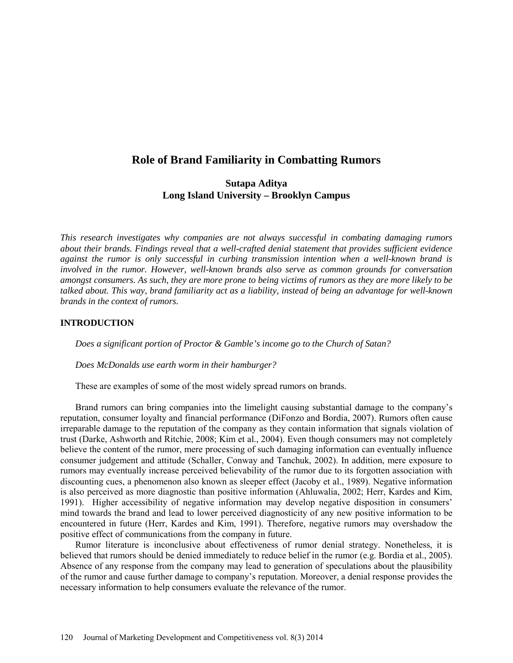# **Role of Brand Familiarity in Combatting Rumors**

# **Sutapa Aditya Long Island University – Brooklyn Campus**

*This research investigates why companies are not always successful in combating damaging rumors about their brands. Findings reveal that a well-crafted denial statement that provides sufficient evidence against the rumor is only successful in curbing transmission intention when a well-known brand is involved in the rumor. However, well-known brands also serve as common grounds for conversation amongst consumers. As such, they are more prone to being victims of rumors as they are more likely to be talked about. This way, brand familiarity act as a liability, instead of being an advantage for well-known brands in the context of rumors.* 

## **INTRODUCTION**

*Does a significant portion of Proctor & Gamble's income go to the Church of Satan?* 

*Does McDonalds use earth worm in their hamburger?* 

These are examples of some of the most widely spread rumors on brands.

Brand rumors can bring companies into the limelight causing substantial damage to the company's reputation, consumer loyalty and financial performance (DiFonzo and Bordia, 2007). Rumors often cause irreparable damage to the reputation of the company as they contain information that signals violation of trust (Darke, Ashworth and Ritchie, 2008; Kim et al., 2004). Even though consumers may not completely believe the content of the rumor, mere processing of such damaging information can eventually influence consumer judgement and attitude (Schaller, Conway and Tanchuk, 2002). In addition, mere exposure to rumors may eventually increase perceived believability of the rumor due to its forgotten association with discounting cues, a phenomenon also known as sleeper effect (Jacoby et al., 1989). Negative information is also perceived as more diagnostic than positive information (Ahluwalia, 2002; Herr, Kardes and Kim, 1991). Higher accessibility of negative information may develop negative disposition in consumers' mind towards the brand and lead to lower perceived diagnosticity of any new positive information to be encountered in future (Herr, Kardes and Kim, 1991). Therefore, negative rumors may overshadow the positive effect of communications from the company in future.

Rumor literature is inconclusive about effectiveness of rumor denial strategy. Nonetheless, it is believed that rumors should be denied immediately to reduce belief in the rumor (e.g. Bordia et al., 2005). Absence of any response from the company may lead to generation of speculations about the plausibility of the rumor and cause further damage to company's reputation. Moreover, a denial response provides the necessary information to help consumers evaluate the relevance of the rumor.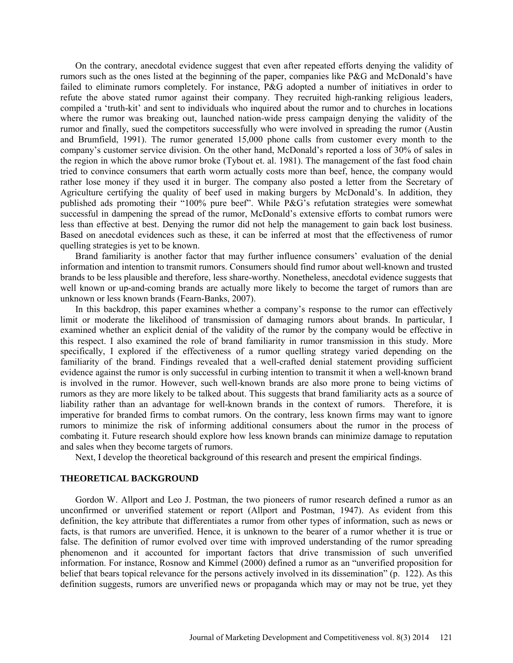On the contrary, anecdotal evidence suggest that even after repeated efforts denying the validity of rumors such as the ones listed at the beginning of the paper, companies like P&G and McDonald's have failed to eliminate rumors completely. For instance, P&G adopted a number of initiatives in order to refute the above stated rumor against their company. They recruited high-ranking religious leaders, compiled a 'truth-kit' and sent to individuals who inquired about the rumor and to churches in locations where the rumor was breaking out, launched nation-wide press campaign denying the validity of the rumor and finally, sued the competitors successfully who were involved in spreading the rumor (Austin and Brumfield, 1991). The rumor generated 15,000 phone calls from customer every month to the company's customer service division. On the other hand, McDonald's reported a loss of 30% of sales in the region in which the above rumor broke (Tybout et. al. 1981). The management of the fast food chain tried to convince consumers that earth worm actually costs more than beef, hence, the company would rather lose money if they used it in burger. The company also posted a letter from the Secretary of Agriculture certifying the quality of beef used in making burgers by McDonald's. In addition, they published ads promoting their "100% pure beef". While P&G's refutation strategies were somewhat successful in dampening the spread of the rumor, McDonald's extensive efforts to combat rumors were less than effective at best. Denying the rumor did not help the management to gain back lost business. Based on anecdotal evidences such as these, it can be inferred at most that the effectiveness of rumor quelling strategies is yet to be known.

Brand familiarity is another factor that may further influence consumers' evaluation of the denial information and intention to transmit rumors. Consumers should find rumor about well-known and trusted brands to be less plausible and therefore, less share-worthy. Nonetheless, anecdotal evidence suggests that well known or up-and-coming brands are actually more likely to become the target of rumors than are unknown or less known brands (Fearn-Banks, 2007).

In this backdrop, this paper examines whether a company's response to the rumor can effectively limit or moderate the likelihood of transmission of damaging rumors about brands. In particular, I examined whether an explicit denial of the validity of the rumor by the company would be effective in this respect. I also examined the role of brand familiarity in rumor transmission in this study. More specifically, I explored if the effectiveness of a rumor quelling strategy varied depending on the familiarity of the brand. Findings revealed that a well-crafted denial statement providing sufficient evidence against the rumor is only successful in curbing intention to transmit it when a well-known brand is involved in the rumor. However, such well-known brands are also more prone to being victims of rumors as they are more likely to be talked about. This suggests that brand familiarity acts as a source of liability rather than an advantage for well-known brands in the context of rumors. Therefore, it is imperative for branded firms to combat rumors. On the contrary, less known firms may want to ignore rumors to minimize the risk of informing additional consumers about the rumor in the process of combating it. Future research should explore how less known brands can minimize damage to reputation and sales when they become targets of rumors.

Next, I develop the theoretical background of this research and present the empirical findings.

## **THEORETICAL BACKGROUND**

Gordon W. Allport and Leo J. Postman, the two pioneers of rumor research defined a rumor as an unconfirmed or unverified statement or report (Allport and Postman, 1947). As evident from this definition, the key attribute that differentiates a rumor from other types of information, such as news or facts, is that rumors are unverified. Hence, it is unknown to the bearer of a rumor whether it is true or false. The definition of rumor evolved over time with improved understanding of the rumor spreading phenomenon and it accounted for important factors that drive transmission of such unverified information. For instance, Rosnow and Kimmel (2000) defined a rumor as an "unverified proposition for belief that bears topical relevance for the persons actively involved in its dissemination" (p. 122). As this definition suggests, rumors are unverified news or propaganda which may or may not be true, yet they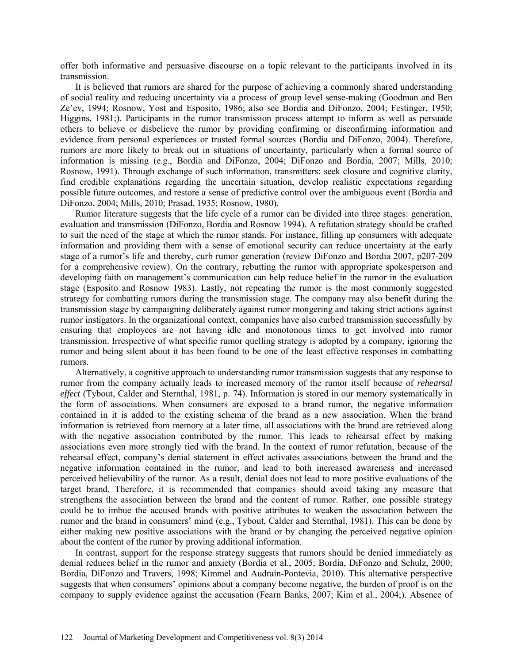offer both informative and persuasive discourse on a topic relevant to the participants involved in its transmission.

It is believed that rumors are shared for the purpose of achieving a commonly shared understanding of social reality and reducing uncertainty via a process of group level sense-making (Goodman and Ben Ze'ev, 1994; Rosnow, Yost and Esposito, 1986; also see Bordia and DiFonzo, 2004; Festinger, 1950; Higgins, 1981;). Participants in the rumor transmission process attempt to inform as well as persuade others to believe or disbelieve the rumor by providing confirming or disconfirming information and evidence from personal experiences or trusted formal sources (Bordia and DiFonzo, 2004). Therefore, rumors are more likely to break out in situations of uncertainty, particularly when a formal source of information is missing (e.g., Bordia and DiFonzo, 2004; DiFonzo and Bordia, 2007; Mills, 2010; Rosnow, 1991). Through exchange of such information, transmitters: seek closure and cognitive clarity, find credible explanations regarding the uncertain situation, develop realistic expectations regarding possible future outcomes, and restore a sense of predictive control over the ambiguous event (Bordia and DiFonzo, 2004; Mills, 2010; Prasad, 1935; Rosnow, 1980).

Rumor literature suggests that the life cycle of a rumor can be divided into three stages: generation, evaluation and transmission (DiFonzo, Bordia and Rosnow 1994). A refutation strategy should be crafted to suit the need of the stage at which the rumor stands. For instance, filling up consumers with adequate information and providing them with a sense of emotional security can reduce uncertainty at the early stage of a rumor's life and thereby, curb rumor generation (review DiFonzo and Bordia 2007, p207-209 for a comprehensive review). On the contrary, rebutting the rumor with appropriate spokesperson and developing faith on management's communication can help reduce belief in the rumor in the evaluation stage (Esposito and Rosnow 1983). Lastly, not repeating the rumor is the most commonly suggested strategy for combatting rumors during the transmission stage. The company may also benefit during the transmission stage by campaigning deliberately against rumor mongering and taking strict actions against rumor instigators. In the organizational context, companies have also curbed transmission successfully by ensuring that employees are not having idle and monotonous times to get involved into rumor transmission. Irrespective of what specific rumor quelling strategy is adopted by a company, ignoring the rumor and being silent about it has been found to be one of the least effective responses in combatting rumors.

Alternatively, a cognitive approach to understanding rumor transmission suggests that any response to rumor from the company actually leads to increased memory of the rumor itself because of *rehearsal effect* (Tybout, Calder and Sternthal, 1981, p. 74). Information is stored in our memory systematically in the form of associations. When consumers are exposed to a brand rumor, the negative information contained in it is added to the existing schema of the brand as a new association. When the brand information is retrieved from memory at a later time, all associations with the brand are retrieved along with the negative association contributed by the rumor. This leads to rehearsal effect by making associations even more strongly tied with the brand. In the context of rumor refutation, because of the rehearsal effect, company's denial statement in effect activates associations between the brand and the negative information contained in the rumor, and lead to both increased awareness and increased perceived believability of the rumor. As a result, denial does not lead to more positive evaluations of the target brand. Therefore, it is recommended that companies should avoid taking any measure that strengthens the association between the brand and the content of rumor. Rather, one possible strategy could be to imbue the accused brands with positive attributes to weaken the association between the rumor and the brand in consumers' mind (e.g., Tybout, Calder and Sternthal, 1981). This can be done by either making new positive associations with the brand or by changing the perceived negative opinion about the content of the rumor by proving additional information.

In contrast, support for the response strategy suggests that rumors should be denied immediately as denial reduces belief in the rumor and anxiety (Bordia et al., 2005; Bordia, DiFonzo and Schulz, 2000; Bordia, DiFonzo and Travers, 1998; Kimmel and Audrain-Pontevia, 2010). This alternative perspective suggests that when consumers' opinions about a company become negative, the burden of proof is on the company to supply evidence against the accusation (Fearn Banks, 2007; Kim et al., 2004;). Absence of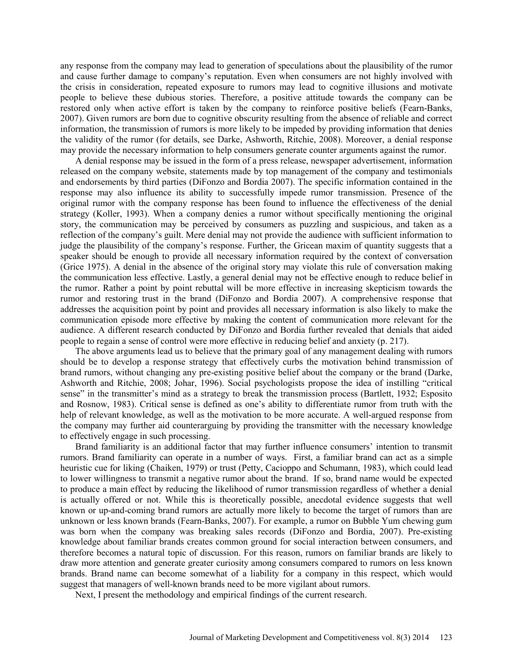any response from the company may lead to generation of speculations about the plausibility of the rumor and cause further damage to company's reputation. Even when consumers are not highly involved with the crisis in consideration, repeated exposure to rumors may lead to cognitive illusions and motivate people to believe these dubious stories. Therefore, a positive attitude towards the company can be restored only when active effort is taken by the company to reinforce positive beliefs (Fearn-Banks, 2007). Given rumors are born due to cognitive obscurity resulting from the absence of reliable and correct information, the transmission of rumors is more likely to be impeded by providing information that denies the validity of the rumor (for details, see Darke, Ashworth, Ritchie, 2008). Moreover, a denial response may provide the necessary information to help consumers generate counter arguments against the rumor.

A denial response may be issued in the form of a press release, newspaper advertisement, information released on the company website, statements made by top management of the company and testimonials and endorsements by third parties (DiFonzo and Bordia 2007). The specific information contained in the response may also influence its ability to successfully impede rumor transmission. Presence of the original rumor with the company response has been found to influence the effectiveness of the denial strategy (Koller, 1993). When a company denies a rumor without specifically mentioning the original story, the communication may be perceived by consumers as puzzling and suspicious, and taken as a reflection of the company's guilt. Mere denial may not provide the audience with sufficient information to judge the plausibility of the company's response. Further, the Gricean maxim of quantity suggests that a speaker should be enough to provide all necessary information required by the context of conversation (Grice 1975). A denial in the absence of the original story may violate this rule of conversation making the communication less effective. Lastly, a general denial may not be effective enough to reduce belief in the rumor. Rather a point by point rebuttal will be more effective in increasing skepticism towards the rumor and restoring trust in the brand (DiFonzo and Bordia 2007). A comprehensive response that addresses the acquisition point by point and provides all necessary information is also likely to make the communication episode more effective by making the content of communication more relevant for the audience. A different research conducted by DiFonzo and Bordia further revealed that denials that aided people to regain a sense of control were more effective in reducing belief and anxiety (p. 217).

The above arguments lead us to believe that the primary goal of any management dealing with rumors should be to develop a response strategy that effectively curbs the motivation behind transmission of brand rumors, without changing any pre-existing positive belief about the company or the brand (Darke, Ashworth and Ritchie, 2008; Johar, 1996). Social psychologists propose the idea of instilling "critical sense" in the transmitter's mind as a strategy to break the transmission process (Bartlett, 1932; Esposito and Rosnow, 1983). Critical sense is defined as one's ability to differentiate rumor from truth with the help of relevant knowledge, as well as the motivation to be more accurate. A well-argued response from the company may further aid counterarguing by providing the transmitter with the necessary knowledge to effectively engage in such processing.

Brand familiarity is an additional factor that may further influence consumers' intention to transmit rumors. Brand familiarity can operate in a number of ways. First, a familiar brand can act as a simple heuristic cue for liking (Chaiken, 1979) or trust (Petty, Cacioppo and Schumann, 1983), which could lead to lower willingness to transmit a negative rumor about the brand. If so, brand name would be expected to produce a main effect by reducing the likelihood of rumor transmission regardless of whether a denial is actually offered or not. While this is theoretically possible, anecdotal evidence suggests that well known or up-and-coming brand rumors are actually more likely to become the target of rumors than are unknown or less known brands (Fearn-Banks, 2007). For example, a rumor on Bubble Yum chewing gum was born when the company was breaking sales records (DiFonzo and Bordia, 2007). Pre-existing knowledge about familiar brands creates common ground for social interaction between consumers, and therefore becomes a natural topic of discussion. For this reason, rumors on familiar brands are likely to draw more attention and generate greater curiosity among consumers compared to rumors on less known brands. Brand name can become somewhat of a liability for a company in this respect, which would suggest that managers of well-known brands need to be more vigilant about rumors.

Next, I present the methodology and empirical findings of the current research.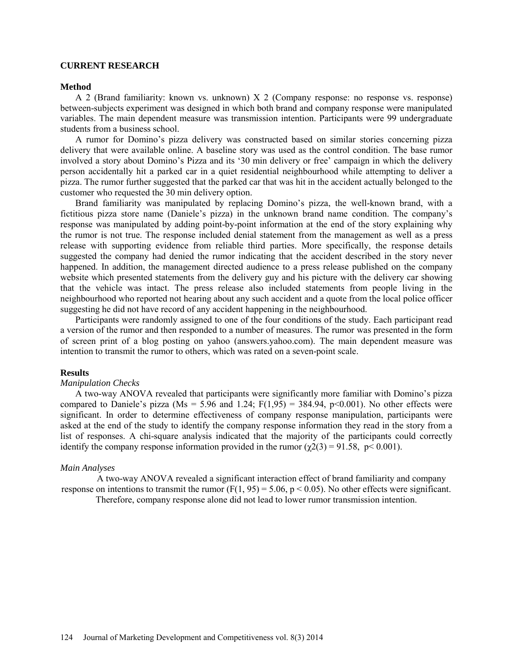#### **CURRENT RESEARCH**

#### **Method**

A 2 (Brand familiarity: known vs. unknown) X 2 (Company response: no response vs. response) between-subjects experiment was designed in which both brand and company response were manipulated variables. The main dependent measure was transmission intention. Participants were 99 undergraduate students from a business school.

A rumor for Domino's pizza delivery was constructed based on similar stories concerning pizza delivery that were available online. A baseline story was used as the control condition. The base rumor involved a story about Domino's Pizza and its '30 min delivery or free' campaign in which the delivery person accidentally hit a parked car in a quiet residential neighbourhood while attempting to deliver a pizza. The rumor further suggested that the parked car that was hit in the accident actually belonged to the customer who requested the 30 min delivery option.

Brand familiarity was manipulated by replacing Domino's pizza, the well-known brand, with a fictitious pizza store name (Daniele's pizza) in the unknown brand name condition. The company's response was manipulated by adding point-by-point information at the end of the story explaining why the rumor is not true. The response included denial statement from the management as well as a press release with supporting evidence from reliable third parties. More specifically, the response details suggested the company had denied the rumor indicating that the accident described in the story never happened. In addition, the management directed audience to a press release published on the company website which presented statements from the delivery guy and his picture with the delivery car showing that the vehicle was intact. The press release also included statements from people living in the neighbourhood who reported not hearing about any such accident and a quote from the local police officer suggesting he did not have record of any accident happening in the neighbourhood.

Participants were randomly assigned to one of the four conditions of the study. Each participant read a version of the rumor and then responded to a number of measures. The rumor was presented in the form of screen print of a blog posting on yahoo (answers.yahoo.com). The main dependent measure was intention to transmit the rumor to others, which was rated on a seven-point scale.

## **Results**

#### *Manipulation Checks*

A two-way ANOVA revealed that participants were significantly more familiar with Domino's pizza compared to Daniele's pizza (Ms = 5.96 and 1.24;  $F(1,95) = 384.94$ , p<0.001). No other effects were significant. In order to determine effectiveness of company response manipulation, participants were asked at the end of the study to identify the company response information they read in the story from a list of responses. A chi-square analysis indicated that the majority of the participants could correctly identify the company response information provided in the rumor ( $\gamma$ 2(3) = 91.58, p< 0.001).

#### *Main Analyses*

A two-way ANOVA revealed a significant interaction effect of brand familiarity and company response on intentions to transmit the rumor ( $F(1, 95) = 5.06$ ,  $p < 0.05$ ). No other effects were significant. Therefore, company response alone did not lead to lower rumor transmission intention.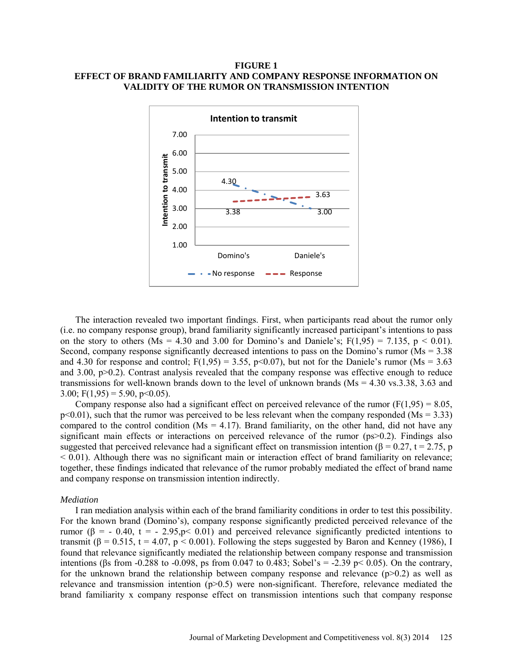## **FIGURE 1 EFFECT OF BRAND FAMILIARITY AND COMPANY RESPONSE INFORMATION ON VALIDITY OF THE RUMOR ON TRANSMISSION INTENTION**



The interaction revealed two important findings. First, when participants read about the rumor only (i.e. no company response group), brand familiarity significantly increased participant's intentions to pass on the story to others (Ms = 4.30 and 3.00 for Domino's and Daniele's;  $F(1,95) = 7.135$ ,  $p < 0.01$ ). Second, company response significantly decreased intentions to pass on the Domino's rumor (Ms = 3.38 and 4.30 for response and control;  $F(1,95) = 3.55$ ,  $p<0.07$ ), but not for the Daniele's rumor (Ms = 3.63) and 3.00, p>0.2). Contrast analysis revealed that the company response was effective enough to reduce transmissions for well-known brands down to the level of unknown brands (Ms = 4.30 vs.3.38, 3.63 and 3.00;  $F(1,95) = 5.90$ ,  $p<0.05$ ).

Company response also had a significant effect on perceived relevance of the rumor  $(F(1,95) = 8.05)$ ,  $p<0.01$ ), such that the rumor was perceived to be less relevant when the company responded (Ms = 3.33) compared to the control condition ( $Ms = 4.17$ ). Brand familiarity, on the other hand, did not have any significant main effects or interactions on perceived relevance of the rumor (ps>0.2). Findings also suggested that perceived relevance had a significant effect on transmission intention ( $\beta = 0.27$ ,  $t = 2.75$ , p  $< 0.01$ ). Although there was no significant main or interaction effect of brand familiarity on relevance; together, these findings indicated that relevance of the rumor probably mediated the effect of brand name and company response on transmission intention indirectly.

#### *Mediation*

I ran mediation analysis within each of the brand familiarity conditions in order to test this possibility. For the known brand (Domino's), company response significantly predicted perceived relevance of the rumor ( $\beta$  = - 0.40, t = - 2.95, p < 0.01) and perceived relevance significantly predicted intentions to transmit ( $\beta$  = 0.515, t = 4.07, p < 0.001). Following the steps suggested by Baron and Kenney (1986), I found that relevance significantly mediated the relationship between company response and transmission intentions (βs from -0.288 to -0.098, ps from 0.047 to 0.483; Sobel's = -2.39 p < 0.05). On the contrary, for the unknown brand the relationship between company response and relevance  $(p>0.2)$  as well as relevance and transmission intention (p>0.5) were non-significant. Therefore, relevance mediated the brand familiarity x company response effect on transmission intentions such that company response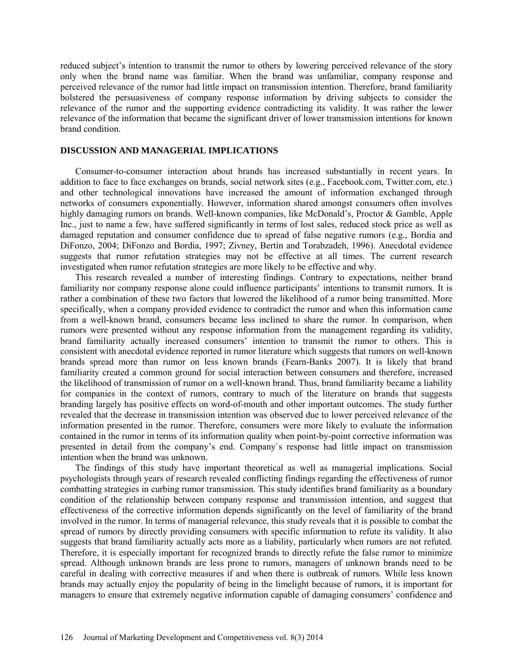reduced subject's intention to transmit the rumor to others by lowering perceived relevance of the story only when the brand name was familiar. When the brand was unfamiliar, company response and perceived relevance of the rumor had little impact on transmission intention. Therefore, brand familiarity bolstered the persuasiveness of company response information by driving subjects to consider the relevance of the rumor and the supporting evidence contradicting its validity. It was rather the lower relevance of the information that became the significant driver of lower transmission intentions for known brand condition.

#### **DISCUSSION AND MANAGERIAL IMPLICATIONS**

Consumer-to-consumer interaction about brands has increased substantially in recent years. In addition to face to face exchanges on brands, social network sites (e.g., Facebook.com, Twitter.com, etc.) and other technological innovations have increased the amount of information exchanged through networks of consumers exponentially. However, information shared amongst consumers often involves highly damaging rumors on brands. Well-known companies, like McDonald's, Proctor & Gamble, Apple Inc., just to name a few, have suffered significantly in terms of lost sales, reduced stock price as well as damaged reputation and consumer confidence due to spread of false negative rumors (e.g., Bordia and DiFonzo, 2004; DiFonzo and Bordia, 1997; Zivney, Bertin and Torabzadeh, 1996). Anecdotal evidence suggests that rumor refutation strategies may not be effective at all times. The current research investigated when rumor refutation strategies are more likely to be effective and why.

This research revealed a number of interesting findings. Contrary to expectations, neither brand familiarity nor company response alone could influence participants' intentions to transmit rumors. It is rather a combination of these two factors that lowered the likelihood of a rumor being transmitted. More specifically, when a company provided evidence to contradict the rumor and when this information came from a well-known brand, consumers became less inclined to share the rumor. In comparison, when rumors were presented without any response information from the management regarding its validity, brand familiarity actually increased consumers' intention to transmit the rumor to others. This is consistent with anecdotal evidence reported in rumor literature which suggests that rumors on well-known brands spread more than rumor on less known brands (Fearn-Banks 2007). It is likely that brand familiarity created a common ground for social interaction between consumers and therefore, increased the likelihood of transmission of rumor on a well-known brand. Thus, brand familiarity became a liability for companies in the context of rumors, contrary to much of the literature on brands that suggests branding largely has positive effects on word-of-mouth and other important outcomes. The study further revealed that the decrease in transmission intention was observed due to lower perceived relevance of the information presented in the rumor. Therefore, consumers were more likely to evaluate the information contained in the rumor in terms of its information quality when point-by-point corrective information was presented in detail from the company's end. Company`s response had little impact on transmission intention when the brand was unknown.

The findings of this study have important theoretical as well as managerial implications. Social psychologists through years of research revealed conflicting findings regarding the effectiveness of rumor combatting strategies in curbing rumor transmission. This study identifies brand familiarity as a boundary condition of the relationship between company response and transmission intention, and suggest that effectiveness of the corrective information depends significantly on the level of familiarity of the brand involved in the rumor. In terms of managerial relevance, this study reveals that it is possible to combat the spread of rumors by directly providing consumers with specific information to refute its validity. It also suggests that brand familiarity actually acts more as a liability, particularly when rumors are not refuted. Therefore, it is especially important for recognized brands to directly refute the false rumor to minimize spread. Although unknown brands are less prone to rumors, managers of unknown brands need to be careful in dealing with corrective measures if and when there is outbreak of rumors. While less known brands may actually enjoy the popularity of being in the limelight because of rumors, it is important for managers to ensure that extremely negative information capable of damaging consumers' confidence and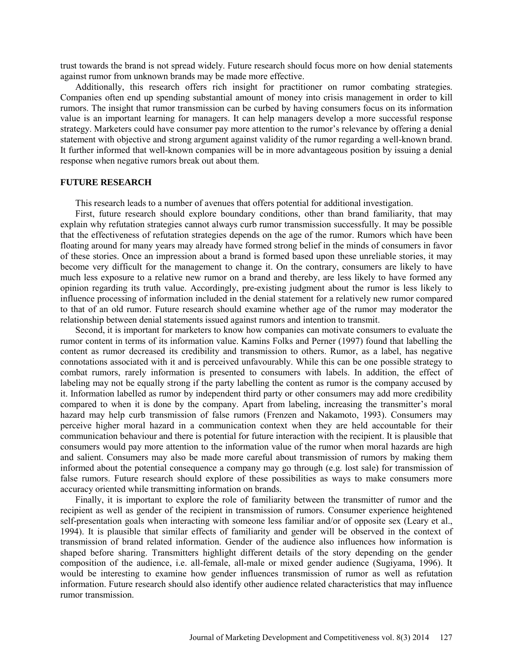trust towards the brand is not spread widely. Future research should focus more on how denial statements against rumor from unknown brands may be made more effective.

Additionally, this research offers rich insight for practitioner on rumor combating strategies. Companies often end up spending substantial amount of money into crisis management in order to kill rumors. The insight that rumor transmission can be curbed by having consumers focus on its information value is an important learning for managers. It can help managers develop a more successful response strategy. Marketers could have consumer pay more attention to the rumor's relevance by offering a denial statement with objective and strong argument against validity of the rumor regarding a well-known brand. It further informed that well-known companies will be in more advantageous position by issuing a denial response when negative rumors break out about them.

### **FUTURE RESEARCH**

This research leads to a number of avenues that offers potential for additional investigation.

First, future research should explore boundary conditions, other than brand familiarity, that may explain why refutation strategies cannot always curb rumor transmission successfully. It may be possible that the effectiveness of refutation strategies depends on the age of the rumor. Rumors which have been floating around for many years may already have formed strong belief in the minds of consumers in favor of these stories. Once an impression about a brand is formed based upon these unreliable stories, it may become very difficult for the management to change it. On the contrary, consumers are likely to have much less exposure to a relative new rumor on a brand and thereby, are less likely to have formed any opinion regarding its truth value. Accordingly, pre-existing judgment about the rumor is less likely to influence processing of information included in the denial statement for a relatively new rumor compared to that of an old rumor. Future research should examine whether age of the rumor may moderator the relationship between denial statements issued against rumors and intention to transmit.

Second, it is important for marketers to know how companies can motivate consumers to evaluate the rumor content in terms of its information value. Kamins Folks and Perner (1997) found that labelling the content as rumor decreased its credibility and transmission to others. Rumor, as a label, has negative connotations associated with it and is perceived unfavourably. While this can be one possible strategy to combat rumors, rarely information is presented to consumers with labels. In addition, the effect of labeling may not be equally strong if the party labelling the content as rumor is the company accused by it. Information labelled as rumor by independent third party or other consumers may add more credibility compared to when it is done by the company. Apart from labeling, increasing the transmitter's moral hazard may help curb transmission of false rumors (Frenzen and Nakamoto, 1993). Consumers may perceive higher moral hazard in a communication context when they are held accountable for their communication behaviour and there is potential for future interaction with the recipient. It is plausible that consumers would pay more attention to the information value of the rumor when moral hazards are high and salient. Consumers may also be made more careful about transmission of rumors by making them informed about the potential consequence a company may go through (e.g. lost sale) for transmission of false rumors. Future research should explore of these possibilities as ways to make consumers more accuracy oriented while transmitting information on brands.

Finally, it is important to explore the role of familiarity between the transmitter of rumor and the recipient as well as gender of the recipient in transmission of rumors. Consumer experience heightened self-presentation goals when interacting with someone less familiar and/or of opposite sex (Leary et al., 1994). It is plausible that similar effects of familiarity and gender will be observed in the context of transmission of brand related information. Gender of the audience also influences how information is shaped before sharing. Transmitters highlight different details of the story depending on the gender composition of the audience, i.e. all-female, all-male or mixed gender audience (Sugiyama, 1996). It would be interesting to examine how gender influences transmission of rumor as well as refutation information. Future research should also identify other audience related characteristics that may influence rumor transmission.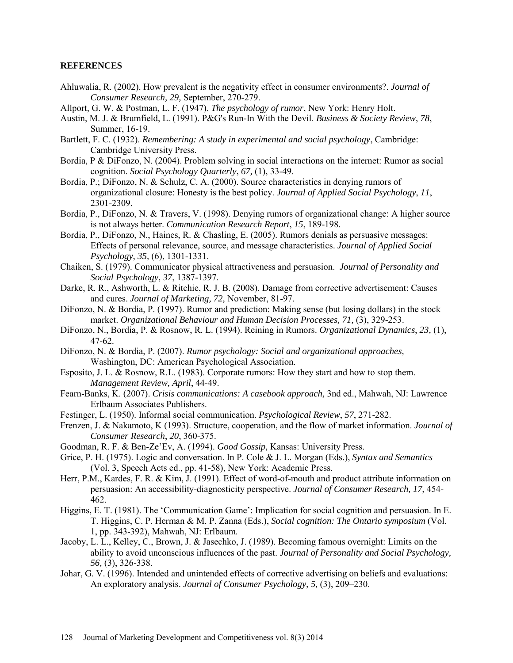### **REFERENCES**

- Ahluwalia, R. (2002). How prevalent is the negativity effect in consumer environments?. *Journal of Consumer Research, 29,* September, 270-279.
- Allport, G. W. & Postman, L. F. (1947). *The psychology of rumor*, New York: Henry Holt.
- Austin, M. J. & Brumfield, L. (1991). P&G's Run-In With the Devil. *Business & Society Review*, *78*, Summer, 16-19.
- Bartlett, F. C. (1932). *Remembering: A study in experimental and social psychology*, Cambridge: Cambridge University Press.
- Bordia, P & DiFonzo, N. (2004). Problem solving in social interactions on the internet: Rumor as social cognition. *Social Psychology Quarterly*, *67,* (1), 33-49.
- Bordia, P.; DiFonzo, N. & Schulz, C. A. (2000). Source characteristics in denying rumors of organizational closure: Honesty is the best policy. *Journal of Applied Social Psychology*, *11*, 2301-2309.
- Bordia, P., DiFonzo, N. & Travers, V. (1998). Denying rumors of organizational change: A higher source is not always better. *Communication Research Report*, *15*, 189-198.
- Bordia, P., DiFonzo, N., Haines, R. & Chasling, E. (2005). Rumors denials as persuasive messages: Effects of personal relevance, source, and message characteristics. *Journal of Applied Social Psychology*, *35,* (6), 1301-1331.
- Chaiken, S. (1979). Communicator physical attractiveness and persuasion. *Journal of Personality and Social Psychology*, *37*, 1387-1397.
- Darke, R. R., Ashworth, L. & Ritchie, R. J. B. (2008). Damage from corrective advertisement: Causes and cures. *Journal of Marketing, 72,* November, 81-97.
- DiFonzo, N. & Bordia, P. (1997). Rumor and prediction: Making sense (but losing dollars) in the stock market. *Organizational Behaviour and Human Decision Processes, 71, (3), 329-253.*
- DiFonzo, N., Bordia, P. & Rosnow, R. L. (1994). Reining in Rumors. *Organizational Dynamics*, *23,* (1), 47-62.
- DiFonzo, N. & Bordia, P. (2007). *Rumor psychology: Social and organizational approaches,*  Washington, DC: American Psychological Association.
- Esposito, J. L. & Rosnow, R.L. (1983). Corporate rumors: How they start and how to stop them. *Management Review, April*, 44-49.
- Fearn-Banks, K. (2007). *Crisis communications: A casebook approach,* 3nd ed., Mahwah, NJ: Lawrence Erlbaum Associates Publishers.
- Festinger, L. (1950). Informal social communication. *Psychological Review*, *57*, 271-282.
- Frenzen, J. & Nakamoto, K (1993). Structure, cooperation, and the flow of market information. *Journal of Consumer Research*, *20*, 360-375.
- Goodman, R. F. & Ben-Ze'Ev, A. (1994). *Good Gossip,* Kansas: University Press.
- Grice, P. H. (1975). Logic and conversation. In P. Cole & J. L. Morgan (Eds.), *Syntax and Semantics* (Vol. 3, Speech Acts ed., pp. 41-58), New York: Academic Press.
- Herr, P.M., Kardes, F. R. & Kim, J. (1991). Effect of word-of-mouth and product attribute information on persuasion: An accessibility-diagnosticity perspective. *Journal of Consumer Research, 17*, 454- 462.
- Higgins, E. T. (1981). The 'Communication Game': Implication for social cognition and persuasion. In E. T. Higgins, C. P. Herman & M. P. Zanna (Eds.), *Social cognition: The Ontario symposium* (Vol. 1, pp. 343-392), Mahwah, NJ: Erlbaum.
- Jacoby, L. L., Kelley, C., Brown, J. & Jasechko, J. (1989). Becoming famous overnight: Limits on the ability to avoid unconscious influences of the past. *Journal of Personality and Social Psychology, 56,* (3), 326-338.
- Johar, G. V. (1996). Intended and unintended effects of corrective advertising on beliefs and evaluations: An exploratory analysis. *Journal of Consumer Psychology*, *5,* (3), 209–230.